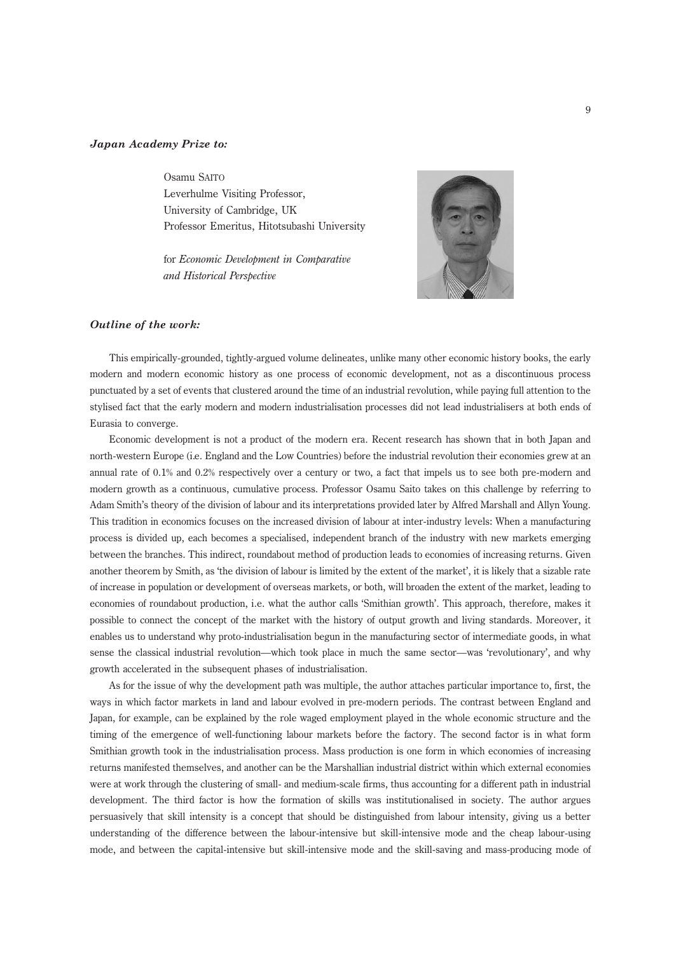## Japan Academy Prize to:

Osamu SAITO Leverhulme Visiting Professor, University of Cambridge, UK Professor Emeritus, Hitotsubashi University

for Economic Development in Comparative and Historical Perspective



## Outline of the work:

This empirically-grounded, tightly-argued volume delineates, unlike many other economic history books, the early modern and modern economic history as one process of economic development, not as a discontinuous process punctuated by a set of events that clustered around the time of an industrial revolution, while paying full attention to the stylised fact that the early modern and modern industrialisation processes did not lead industrialisers at both ends of Eurasia to converge.

Economic development is not a product of the modern era. Recent research has shown that in both Japan and north-western Europe (i.e. England and the Low Countries) before the industrial revolution their economies grew at an annual rate of 0.1% and 0.2% respectively over a century or two, a fact that impels us to see both pre-modern and modern growth as a continuous, cumulative process. Professor Osamu Saito takes on this challenge by referring to Adam Smith's theory of the division of labour and its interpretations provided later by Alfred Marshall and Allyn Young. This tradition in economics focuses on the increased division of labour at inter-industry levels: When a manufacturing process is divided up, each becomes a specialised, independent branch of the industry with new markets emerging between the branches. This indirect, roundabout method of production leads to economies of increasing returns. Given another theorem by Smith, as 'the division of labour is limited by the extent of the market', it is likely that a sizable rate of increase in population or development of overseas markets, or both, will broaden the extent of the market, leading to economies of roundabout production, i.e. what the author calls 'Smithian growth'. This approach, therefore, makes it possible to connect the concept of the market with the history of output growth and living standards. Moreover, it enables us to understand why proto-industrialisation begun in the manufacturing sector of intermediate goods, in what sense the classical industrial revolution—which took place in much the same sector—was 'revolutionary', and why growth accelerated in the subsequent phases of industrialisation.

As for the issue of why the development path was multiple, the author attaches particular importance to, first, the ways in which factor markets in land and labour evolved in pre-modern periods. The contrast between England and Japan, for example, can be explained by the role waged employment played in the whole economic structure and the timing of the emergence of well-functioning labour markets before the factory. The second factor is in what form Smithian growth took in the industrialisation process. Mass production is one form in which economies of increasing returns manifested themselves, and another can be the Marshallian industrial district within which external economies were at work through the clustering of small- and medium-scale firms, thus accounting for a different path in industrial development. The third factor is how the formation of skills was institutionalised in society. The author argues persuasively that skill intensity is a concept that should be distinguished from labour intensity, giving us a better understanding of the difference between the labour-intensive but skill-intensive mode and the cheap labour-using mode, and between the capital-intensive but skill-intensive mode and the skill-saving and mass-producing mode of